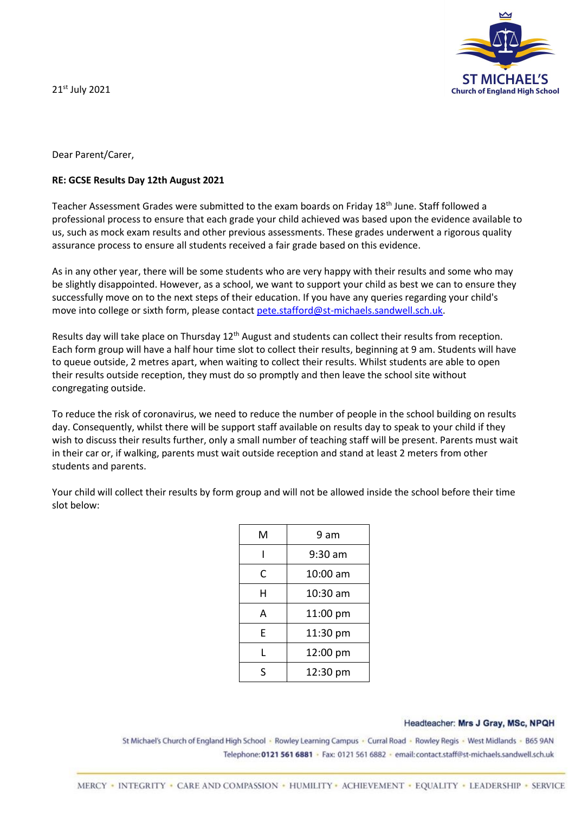**ST MICHA Church of England High School** 

21st July 2021

Dear Parent/Carer,

## **RE: GCSE Results Day 12th August 2021**

Teacher Assessment Grades were submitted to the exam boards on Friday 18<sup>th</sup> June. Staff followed a professional process to ensure that each grade your child achieved was based upon the evidence available to us, such as mock exam results and other previous assessments. These grades underwent a rigorous quality assurance process to ensure all students received a fair grade based on this evidence.

As in any other year, there will be some students who are very happy with their results and some who may be slightly disappointed. However, as a school, we want to support your child as best we can to ensure they successfully move on to the next steps of their education. If you have any queries regarding your child's move into college or sixth form, please contact [pete.stafford@st-michaels.sandwell.sch.uk.](mailto:pete.stafford@st-michaels.sandwell.sch.uk)

Results day will take place on Thursday 12<sup>th</sup> August and students can collect their results from reception. Each form group will have a half hour time slot to collect their results, beginning at 9 am. Students will have to queue outside, 2 metres apart, when waiting to collect their results. Whilst students are able to open their results outside reception, they must do so promptly and then leave the school site without congregating outside.

To reduce the risk of coronavirus, we need to reduce the number of people in the school building on results day. Consequently, whilst there will be support staff available on results day to speak to your child if they wish to discuss their results further, only a small number of teaching staff will be present. Parents must wait in their car or, if walking, parents must wait outside reception and stand at least 2 meters from other students and parents.

| м | 9 am     |
|---|----------|
|   | 9:30 am  |
| C | 10:00 am |
| Н | 10:30 am |
| А | 11:00 pm |
| E | 11:30 pm |
| L | 12:00 pm |
| S | 12:30 pm |

Your child will collect their results by form group and will not be allowed inside the school before their time slot below:

## Headteacher: Mrs J Gray, MSc, NPQH

St Michael's Church of England High School · Rowley Learning Campus · Curral Road · Rowley Regis · West Midlands · B65 9AN Telephone: 0121 561 6881 · Fax: 0121 561 6882 · email: contact.staff@st-michaels.sandwell.sch.uk